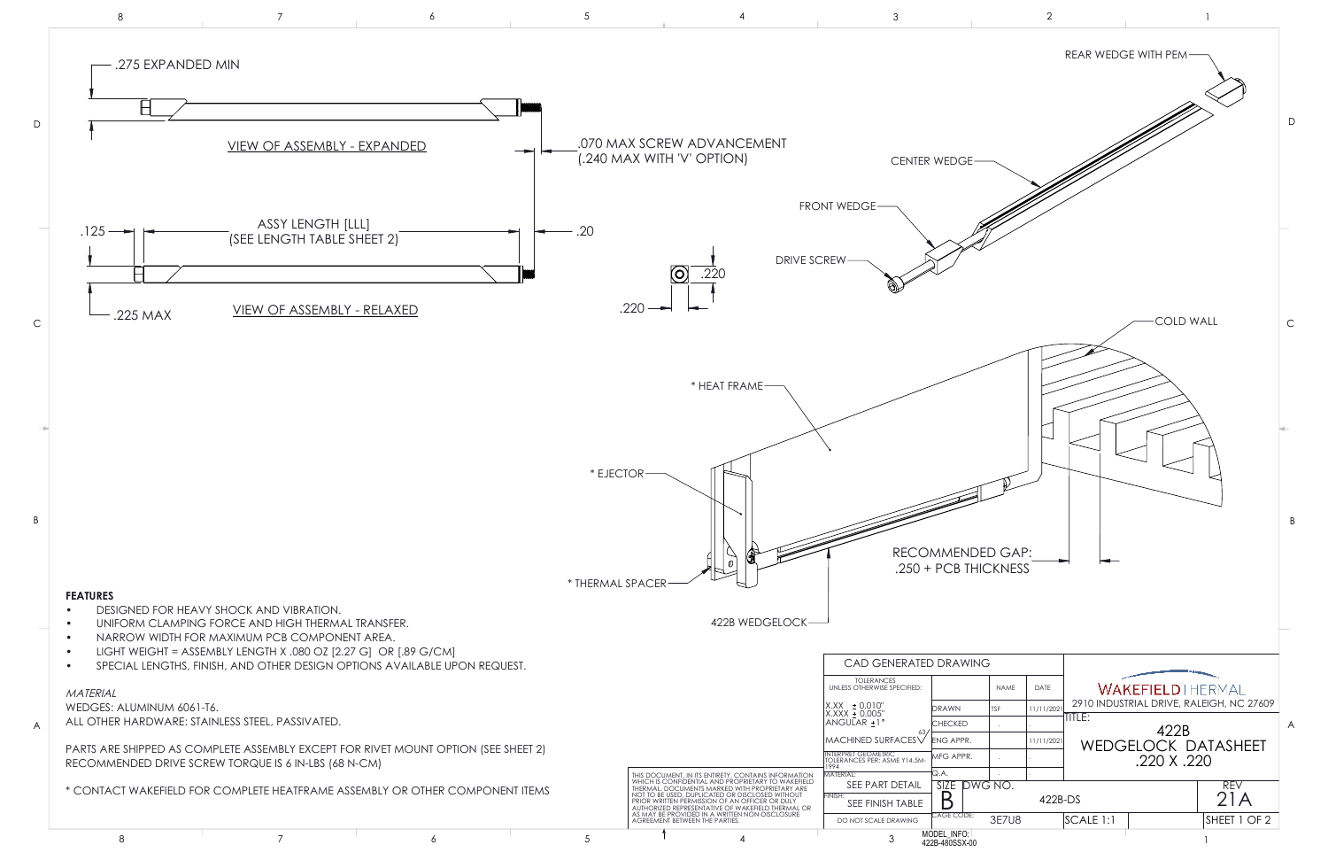